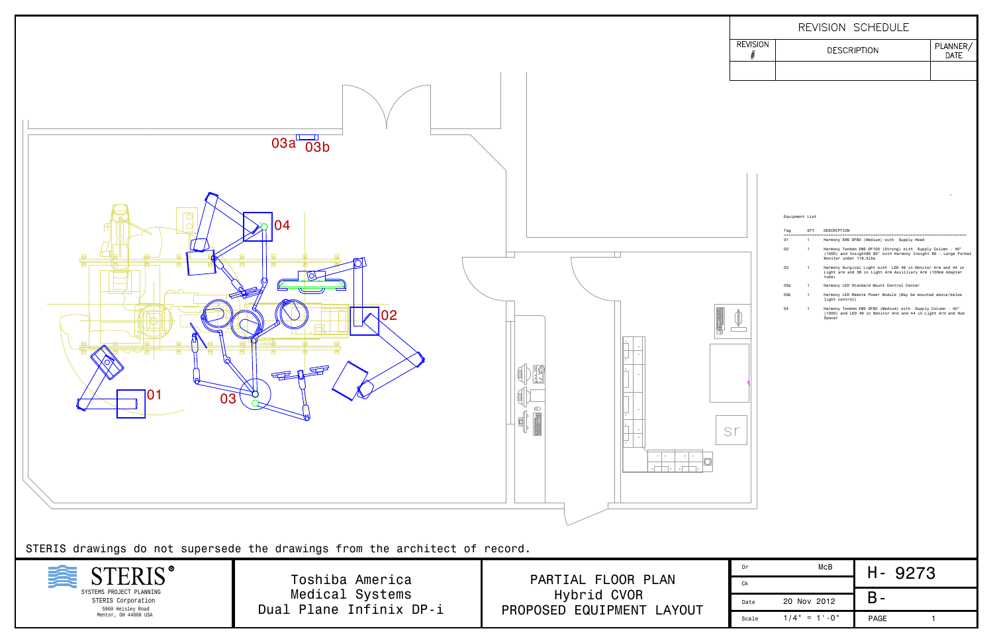| Equipment List |  |
|----------------|--|
|----------------|--|

| Тао | <b>OTY</b> | DESCRIPTION                                                                                                                                             |
|-----|------------|---------------------------------------------------------------------------------------------------------------------------------------------------------|
| 01  | 1          | Harmony EMS DF80 (Medium) with Supply Head                                                                                                              |
| 02  | 1          | Harmony Tandem EMS DF100 (Strong) with Supply Column - 40"<br>(1000) and Insight85 90" with Harmony Insight 85 - Large Format<br>Monitor under 118.51bs |
| 03  |            | Harmony Surgical Light with LED 49 in Monitor Arm and 44 in<br>Light arm and 36 in Light Arm Auxilliary Arm (100mm Adapter<br>tube)                     |
| 0За |            | Harmony LED Standard Mount Control Center                                                                                                               |
| 03b |            | Harmony LED Remote Power Module (May be mounted above/below<br>light control)                                                                           |
| 04  |            | Harmony Tandem EMS DF80 (Medium) with Supply Column - 40"<br>(1000) and LED 49 in Monitor Arm and 44 in Light Arm and Hub<br>Spacer                     |



SYSTEMS PROJECT PLANNING STERIS Corporation 5960 Heisley Road Mentor, OH 44060 USA

| Dr    | McB            | Н-<br>9273  |  |
|-------|----------------|-------------|--|
| Ck    |                |             |  |
| Date  | 20 Nov 2012    |             |  |
| Scale | $1/4" = 1'-0"$ | <b>PAGE</b> |  |

PARTIAL FLOOR PLAN Hybrid CVOR PROPOSED EQUIPMENT LAYOUT

## **REVISION** PLANNER/<br>DATE **DESCRIPTION**  $#$

Toshiba America Medical Systems Dual Plane Infinix DP-i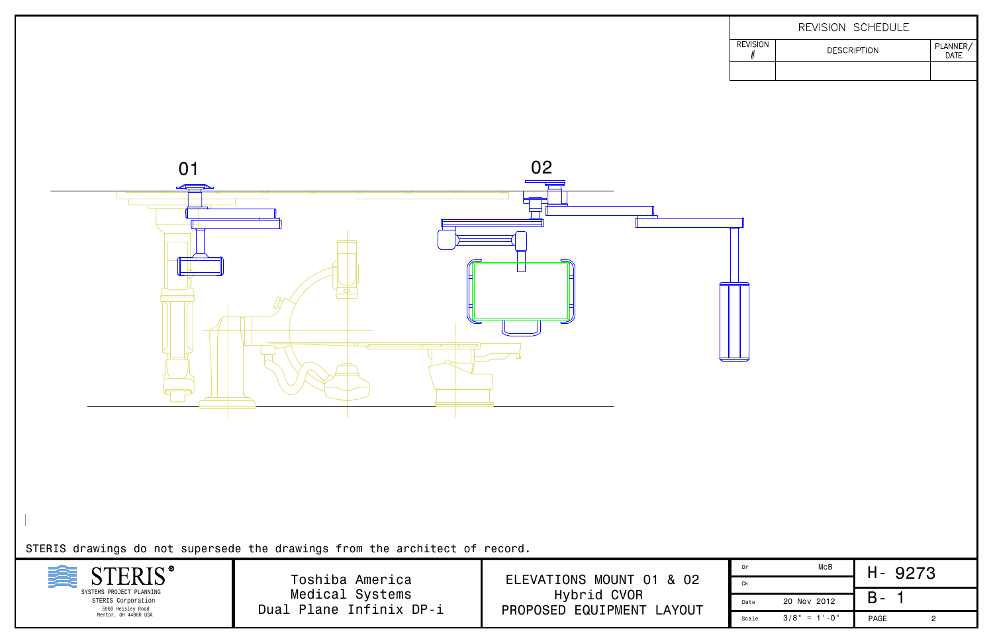



STERIS drawings do not supersede the drawings from the architect of record.

| Dr    | McB              | 9273<br>п-  |
|-------|------------------|-------------|
| Ck    |                  |             |
| Date  | 20 Nov 2012      | ▄           |
| Scale | $3/8" = 1' - 0"$ | <b>PAGE</b> |

ELEVATIONS MOUNT 01 & 02 Hybrid CVOR PROPOSED EQUIPMENT LAYOUT

|                 | REVISION SCHEDULE  |                  |
|-----------------|--------------------|------------------|
| <b>REVISION</b> | <b>DESCRIPTION</b> | PLANNER/<br>DATE |
|                 |                    |                  |

Toshiba America Medical Systems Dual Plane Infinix DP-i